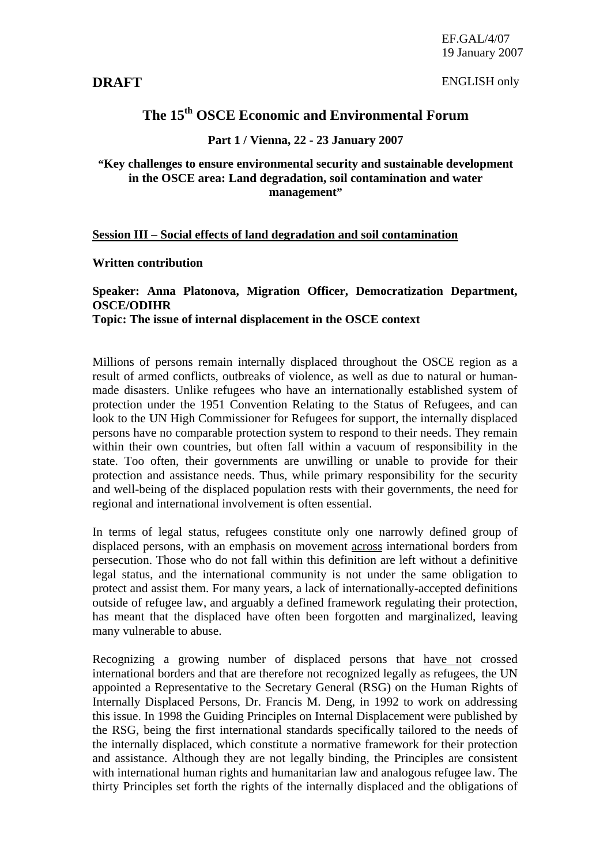EF.GAL/4/07 19 January 2007

ENGLISH only

## **The 15th OSCE Economic and Environmental Forum**

## **Part 1 / Vienna, 22 - 23 January 2007**

**"Key challenges to ensure environmental security and sustainable development in the OSCE area: Land degradation, soil contamination and water management"** 

## **Session III – Social effects of land degradation and soil contamination**

**Written contribution** 

## **Speaker: Anna Platonova, Migration Officer, Democratization Department, OSCE/ODIHR**

**Topic: The issue of internal displacement in the OSCE context** 

Millions of persons remain internally displaced throughout the OSCE region as a result of armed conflicts, outbreaks of violence, as well as due to natural or humanmade disasters. Unlike refugees who have an internationally established system of protection under the 1951 Convention Relating to the Status of Refugees, and can look to the UN High Commissioner for Refugees for support, the internally displaced persons have no comparable protection system to respond to their needs. They remain within their own countries, but often fall within a vacuum of responsibility in the state. Too often, their governments are unwilling or unable to provide for their protection and assistance needs. Thus, while primary responsibility for the security and well-being of the displaced population rests with their governments, the need for regional and international involvement is often essential.

In terms of legal status, refugees constitute only one narrowly defined group of displaced persons, with an emphasis on movement across international borders from persecution. Those who do not fall within this definition are left without a definitive legal status, and the international community is not under the same obligation to protect and assist them. For many years, a lack of internationally-accepted definitions outside of refugee law, and arguably a defined framework regulating their protection, has meant that the displaced have often been forgotten and marginalized, leaving many vulnerable to abuse.

Recognizing a growing number of displaced persons that have not crossed international borders and that are therefore not recognized legally as refugees, the UN appointed a Representative to the Secretary General (RSG) on the Human Rights of Internally Displaced Persons, Dr. Francis M. Deng, in 1992 to work on addressing this issue. In 1998 the Guiding Principles on Internal Displacement were published by the RSG, being the first international standards specifically tailored to the needs of the internally displaced, which constitute a normative framework for their protection and assistance. Although they are not legally binding, the Principles are consistent with international human rights and humanitarian law and analogous refugee law. The thirty Principles set forth the rights of the internally displaced and the obligations of

**DRAFT**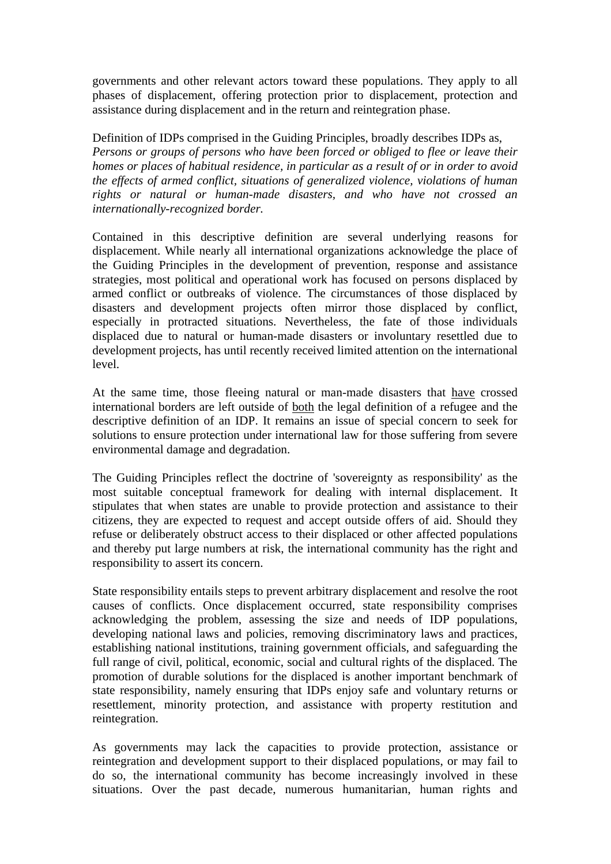governments and other relevant actors toward these populations. They apply to all phases of displacement, offering protection prior to displacement, protection and assistance during displacement and in the return and reintegration phase.

Definition of IDPs comprised in the Guiding Principles, broadly describes IDPs as, *Persons or groups of persons who have been forced or obliged to flee or leave their homes or places of habitual residence, in particular as a result of or in order to avoid the effects of armed conflict, situations of generalized violence, violations of human rights or natural or human-made disasters, and who have not crossed an internationally-recognized border.* 

Contained in this descriptive definition are several underlying reasons for displacement. While nearly all international organizations acknowledge the place of the Guiding Principles in the development of prevention, response and assistance strategies, most political and operational work has focused on persons displaced by armed conflict or outbreaks of violence. The circumstances of those displaced by disasters and development projects often mirror those displaced by conflict, especially in protracted situations. Nevertheless, the fate of those individuals displaced due to natural or human-made disasters or involuntary resettled due to development projects, has until recently received limited attention on the international level.

At the same time, those fleeing natural or man-made disasters that have crossed international borders are left outside of both the legal definition of a refugee and the descriptive definition of an IDP. It remains an issue of special concern to seek for solutions to ensure protection under international law for those suffering from severe environmental damage and degradation.

The Guiding Principles reflect the doctrine of 'sovereignty as responsibility' as the most suitable conceptual framework for dealing with internal displacement. It stipulates that when states are unable to provide protection and assistance to their citizens, they are expected to request and accept outside offers of aid. Should they refuse or deliberately obstruct access to their displaced or other affected populations and thereby put large numbers at risk, the international community has the right and responsibility to assert its concern.

State responsibility entails steps to prevent arbitrary displacement and resolve the root causes of conflicts. Once displacement occurred, state responsibility comprises acknowledging the problem, assessing the size and needs of IDP populations, developing national laws and policies, removing discriminatory laws and practices, establishing national institutions, training government officials, and safeguarding the full range of civil, political, economic, social and cultural rights of the displaced. The promotion of durable solutions for the displaced is another important benchmark of state responsibility, namely ensuring that IDPs enjoy safe and voluntary returns or resettlement, minority protection, and assistance with property restitution and reintegration.

As governments may lack the capacities to provide protection, assistance or reintegration and development support to their displaced populations, or may fail to do so, the international community has become increasingly involved in these situations. Over the past decade, numerous humanitarian, human rights and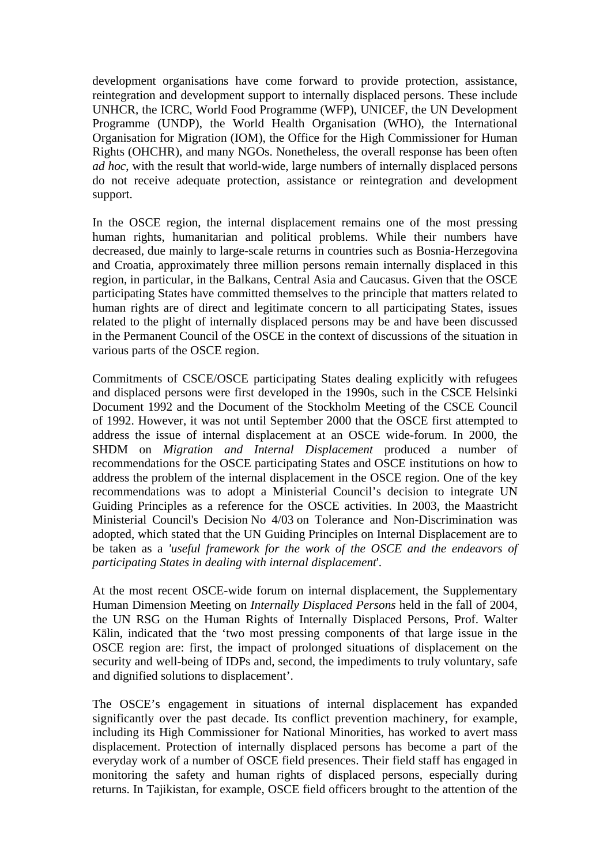development organisations have come forward to provide protection, assistance, reintegration and development support to internally displaced persons. These include UNHCR, the ICRC, World Food Programme (WFP), UNICEF, the UN Development Programme (UNDP), the World Health Organisation (WHO), the International Organisation for Migration (IOM), the Office for the High Commissioner for Human Rights (OHCHR), and many NGOs. Nonetheless, the overall response has been often *ad hoc*, with the result that world-wide, large numbers of internally displaced persons do not receive adequate protection, assistance or reintegration and development support.

In the OSCE region, the internal displacement remains one of the most pressing human rights, humanitarian and political problems. While their numbers have decreased, due mainly to large-scale returns in countries such as Bosnia-Herzegovina and Croatia, approximately three million persons remain internally displaced in this region, in particular, in the Balkans, Central Asia and Caucasus. Given that the OSCE participating States have committed themselves to the principle that matters related to human rights are of direct and legitimate concern to all participating States, issues related to the plight of internally displaced persons may be and have been discussed in the Permanent Council of the OSCE in the context of discussions of the situation in various parts of the OSCE region.

Commitments of CSCE/OSCE participating States dealing explicitly with refugees and displaced persons were first developed in the 1990s, such in the CSCE Helsinki Document 1992 and the Document of the Stockholm Meeting of the CSCE Council of 1992. However, it was not until September 2000 that the OSCE first attempted to address the issue of internal displacement at an OSCE wide-forum. In 2000, the SHDM on *Migration and Internal Displacement* produced a number of recommendations for the OSCE participating States and OSCE institutions on how to address the problem of the internal displacement in the OSCE region. One of the key recommendations was to adopt a Ministerial Council's decision to integrate UN Guiding Principles as a reference for the OSCE activities. In 2003, the Maastricht Ministerial Council's Decision No 4/03 on Tolerance and Non-Discrimination was adopted, which stated that the UN Guiding Principles on Internal Displacement are to be taken as a *'useful framework for the work of the OSCE and the endeavors of participating States in dealing with internal displacement*'.

At the most recent OSCE-wide forum on internal displacement, the Supplementary Human Dimension Meeting on *Internally Displaced Persons* held in the fall of 2004, the UN RSG on the Human Rights of Internally Displaced Persons, Prof. Walter Kälin, indicated that the 'two most pressing components of that large issue in the OSCE region are: first, the impact of prolonged situations of displacement on the security and well-being of IDPs and, second, the impediments to truly voluntary, safe and dignified solutions to displacement'.

The OSCE's engagement in situations of internal displacement has expanded significantly over the past decade. Its conflict prevention machinery, for example, including its High Commissioner for National Minorities, has worked to avert mass displacement. Protection of internally displaced persons has become a part of the everyday work of a number of OSCE field presences. Their field staff has engaged in monitoring the safety and human rights of displaced persons, especially during returns. In Tajikistan, for example, OSCE field officers brought to the attention of the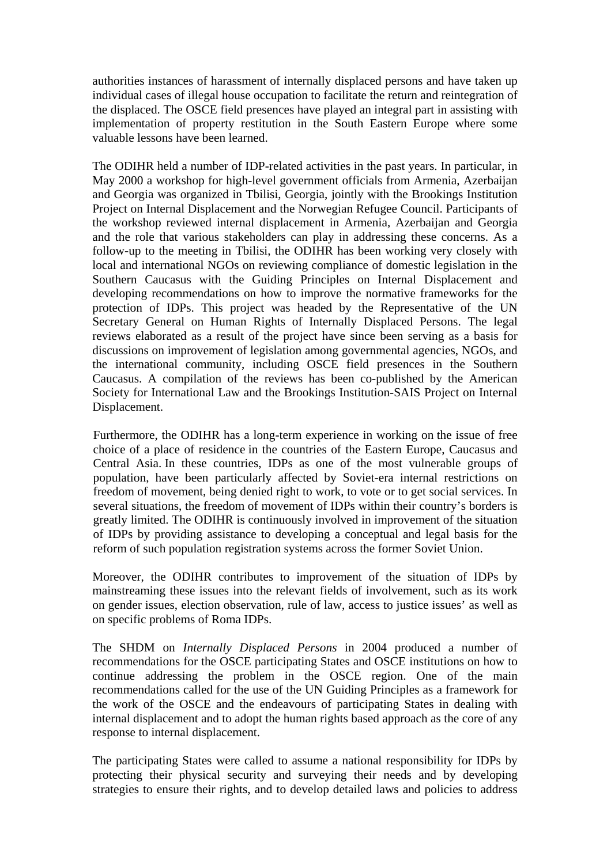authorities instances of harassment of internally displaced persons and have taken up individual cases of illegal house occupation to facilitate the return and reintegration of the displaced. The OSCE field presences have played an integral part in assisting with implementation of property restitution in the South Eastern Europe where some valuable lessons have been learned.

The ODIHR held a number of IDP-related activities in the past years. In particular, in May 2000 a workshop for high-level government officials from Armenia, Azerbaijan and Georgia was organized in Tbilisi, Georgia, jointly with the Brookings Institution Project on Internal Displacement and the Norwegian Refugee Council. Participants of the workshop reviewed internal displacement in Armenia, Azerbaijan and Georgia and the role that various stakeholders can play in addressing these concerns. As a follow-up to the meeting in Tbilisi, the ODIHR has been working very closely with local and international NGOs on reviewing compliance of domestic legislation in the Southern Caucasus with the Guiding Principles on Internal Displacement and developing recommendations on how to improve the normative frameworks for the protection of IDPs. This project was headed by the Representative of the UN Secretary General on Human Rights of Internally Displaced Persons. The legal reviews elaborated as a result of the project have since been serving as a basis for discussions on improvement of legislation among governmental agencies, NGOs, and the international community, including OSCE field presences in the Southern Caucasus. A compilation of the reviews has been co-published by the American Society for International Law and the Brookings Institution-SAIS Project on Internal Displacement.

Furthermore, the ODIHR has a long-term experience in working on the issue of free choice of a place of residence in the countries of the Eastern Europe, Caucasus and Central Asia. In these countries, IDPs as one of the most vulnerable groups of population, have been particularly affected by Soviet-era internal restrictions on freedom of movement, being denied right to work, to vote or to get social services. In several situations, the freedom of movement of IDPs within their country's borders is greatly limited. The ODIHR is continuously involved in improvement of the situation of IDPs by providing assistance to developing a conceptual and legal basis for the reform of such population registration systems across the former Soviet Union.

Moreover, the ODIHR contributes to improvement of the situation of IDPs by mainstreaming these issues into the relevant fields of involvement, such as its work on gender issues, election observation, rule of law, access to justice issues' as well as on specific problems of Roma IDPs.

The SHDM on *Internally Displaced Persons* in 2004 produced a number of recommendations for the OSCE participating States and OSCE institutions on how to continue addressing the problem in the OSCE region. One of the main recommendations called for the use of the UN Guiding Principles as a framework for the work of the OSCE and the endeavours of participating States in dealing with internal displacement and to adopt the human rights based approach as the core of any response to internal displacement.

The participating States were called to assume a national responsibility for IDPs by protecting their physical security and surveying their needs and by developing strategies to ensure their rights, and to develop detailed laws and policies to address